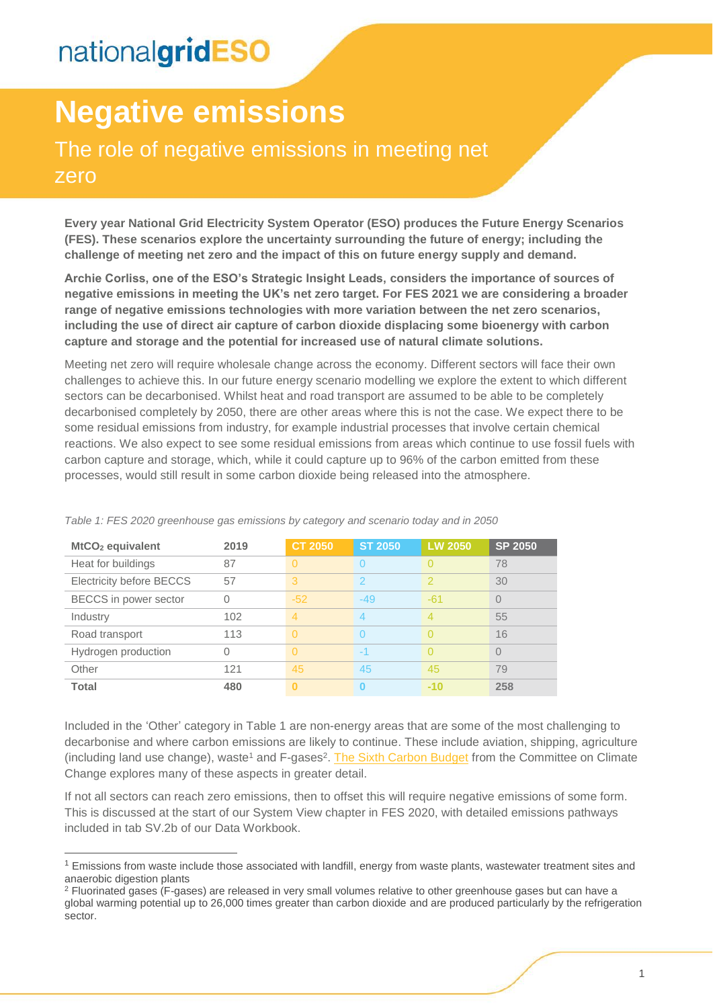-

# **Negative emissions**

### The role of negative emissions in meeting net zero

**Every year National Grid Electricity System Operator (ESO) produces the Future Energy Scenarios (FES). These scenarios explore the uncertainty surrounding the future of energy; including the challenge of meeting net zero and the impact of this on future energy supply and demand.** 

**Archie Corliss, one of the ESO's Strategic Insight Leads, considers the importance of sources of negative emissions in meeting the UK's net zero target. For FES 2021 we are considering a broader range of negative emissions technologies with more variation between the net zero scenarios, including the use of direct air capture of carbon dioxide displacing some bioenergy with carbon capture and storage and the potential for increased use of natural climate solutions.**

Meeting net zero will require wholesale change across the economy. Different sectors will face their own challenges to achieve this. In our future energy scenario modelling we explore the extent to which different sectors can be decarbonised. Whilst heat and road transport are assumed to be able to be completely decarbonised completely by 2050, there are other areas where this is not the case. We expect there to be some residual emissions from industry, for example industrial processes that involve certain chemical reactions. We also expect to see some residual emissions from areas which continue to use fossil fuels with carbon capture and storage, which, while it could capture up to 96% of the carbon emitted from these processes, would still result in some carbon dioxide being released into the atmosphere.

| MtCO <sub>2</sub> equivalent    | 2019 | <b>CT 2050</b> | <b>ST 2050</b> | <b>LW 2050</b> | <b>SP 2050</b> |
|---------------------------------|------|----------------|----------------|----------------|----------------|
| Heat for buildings              | 87   | $\Omega$       |                |                | 78             |
| <b>Electricity before BECCS</b> | 57   | 3              | 2              | 2              | 30             |
| BECCS in power sector           | 0    | $-52$          | $-49$          | $-61$          | $\Omega$       |
| Industry                        | 102  | 4              |                | 4              | 55             |
| Road transport                  | 113  | $\Omega$       |                |                | 16             |
| Hydrogen production             | Ω    | $\Omega$       | $-1$           |                | $\bigcap$      |
| Other                           | 121  | 45             | 45             | 45             | 79             |
| <b>Total</b>                    | 480  | n              | ∩              | $-10$          | 258            |

*Table 1: FES 2020 greenhouse gas emissions by category and scenario today and in 2050*

Included in the 'Other' category in Table 1 are non-energy areas that are some of the most challenging to decarbonise and where carbon emissions are likely to continue. These include aviation, shipping, agriculture (including land use change), waste<sup>1</sup> and F-gases<sup>2</sup>. [The Sixth Carbon Budget](https://www.theccc.org.uk/publication/sixth-carbon-budget/) from the Committee on Climate Change explores many of these aspects in greater detail.

If not all sectors can reach zero emissions, then to offset this will require negative emissions of some form. This is discussed at the start of our System View chapter in FES 2020, with detailed emissions pathways included in tab SV.2b of our Data Workbook.

<sup>&</sup>lt;sup>1</sup> Emissions from waste include those associated with landfill, energy from waste plants, wastewater treatment sites and anaerobic digestion plants

<sup>2</sup> Fluorinated gases (F-gases) are released in very small volumes relative to other greenhouse gases but can have a global warming potential up to 26,000 times greater than carbon dioxide and are produced particularly by the refrigeration sector.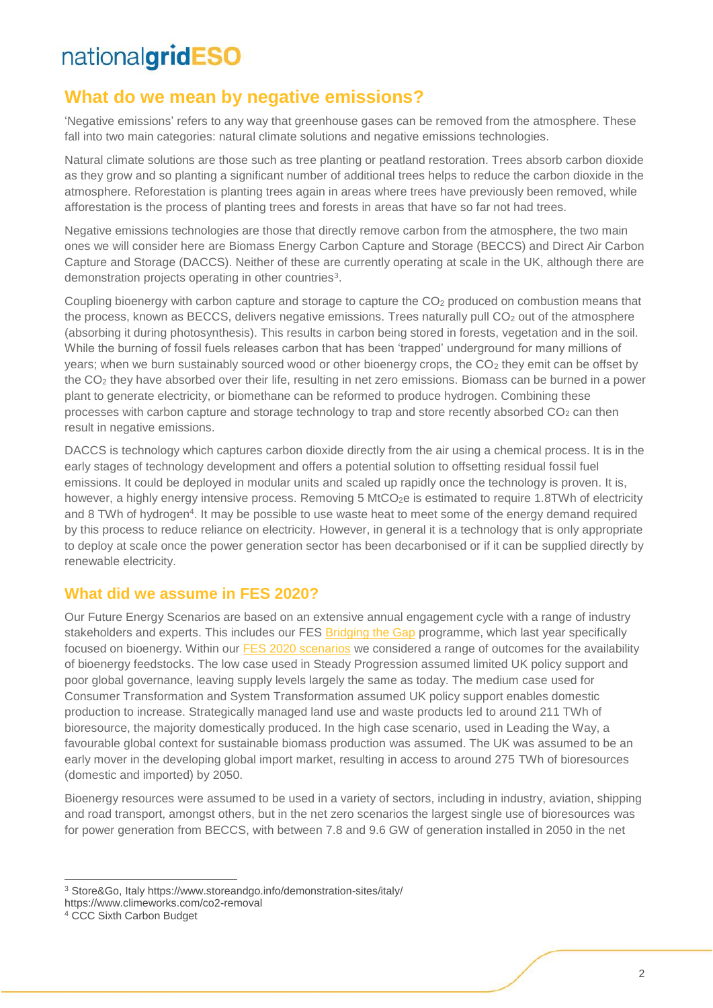#### **What do we mean by negative emissions?**

'Negative emissions' refers to any way that greenhouse gases can be removed from the atmosphere. These fall into two main categories: natural climate solutions and negative emissions technologies.

Natural climate solutions are those such as tree planting or peatland restoration. Trees absorb carbon dioxide as they grow and so planting a significant number of additional trees helps to reduce the carbon dioxide in the atmosphere. Reforestation is planting trees again in areas where trees have previously been removed, while afforestation is the process of planting trees and forests in areas that have so far not had trees.

Negative emissions technologies are those that directly remove carbon from the atmosphere, the two main ones we will consider here are Biomass Energy Carbon Capture and Storage (BECCS) and Direct Air Carbon Capture and Storage (DACCS). Neither of these are currently operating at scale in the UK, although there are demonstration projects operating in other countries<sup>3</sup>.

Coupling bioenergy with carbon capture and storage to capture the CO<sub>2</sub> produced on combustion means that the process, known as BECCS, delivers negative emissions. Trees naturally pull  $CO<sub>2</sub>$  out of the atmosphere (absorbing it during photosynthesis). This results in carbon being stored in forests, vegetation and in the soil. While the burning of fossil fuels releases carbon that has been 'trapped' underground for many millions of years; when we burn sustainably sourced wood or other bioenergy crops, the  $CO<sub>2</sub>$  they emit can be offset by the CO<sup>2</sup> they have absorbed over their life, resulting in net zero emissions. Biomass can be burned in a power plant to generate electricity, or biomethane can be reformed to produce hydrogen. Combining these processes with carbon capture and storage technology to trap and store recently absorbed CO<sub>2</sub> can then result in negative emissions.

DACCS is technology which captures carbon dioxide directly from the air using a chemical process. It is in the early stages of technology development and offers a potential solution to offsetting residual fossil fuel emissions. It could be deployed in modular units and scaled up rapidly once the technology is proven. It is, however, a highly energy intensive process. Removing 5 MtCO<sub>2</sub>e is estimated to require 1.8TWh of electricity and 8 TWh of hydrogen<sup>4</sup>. It may be possible to use waste heat to meet some of the energy demand required by this process to reduce reliance on electricity. However, in general it is a technology that is only appropriate to deploy at scale once the power generation sector has been decarbonised or if it can be supplied directly by renewable electricity.

#### **What did we assume in FES 2020?**

Our Future Energy Scenarios are based on an extensive annual engagement cycle with a range of industry stakeholders and experts. This includes our FES [Bridging the Gap](https://www.nationalgrideso.com/future-energy/future-energy-scenarios/bridging-the-gap-to-net-zero) programme, which last year specifically focused on bioenergy. Within our [FES 2020 scenarios](https://www.nationalgrideso.com/sites/eso/files/documents/introducing-the-fes-2020-scenarios_1.pdf) we considered a range of outcomes for the availability of bioenergy feedstocks. The low case used in Steady Progression assumed limited UK policy support and poor global governance, leaving supply levels largely the same as today. The medium case used for Consumer Transformation and System Transformation assumed UK policy support enables domestic production to increase. Strategically managed land use and waste products led to around 211 TWh of bioresource, the majority domestically produced. In the high case scenario, used in Leading the Way, a favourable global context for sustainable biomass production was assumed. The UK was assumed to be an early mover in the developing global import market, resulting in access to around 275 TWh of bioresources (domestic and imported) by 2050.

Bioenergy resources were assumed to be used in a variety of sectors, including in industry, aviation, shipping and road transport, amongst others, but in the net zero scenarios the largest single use of bioresources was for power generation from BECCS, with between 7.8 and 9.6 GW of generation installed in 2050 in the net

 $\overline{a}$ 

<sup>3</sup> Store&Go, Italy https://www.storeandgo.info/demonstration-sites/italy/

https://www.climeworks.com/co2-removal

<sup>4</sup> CCC Sixth Carbon Budget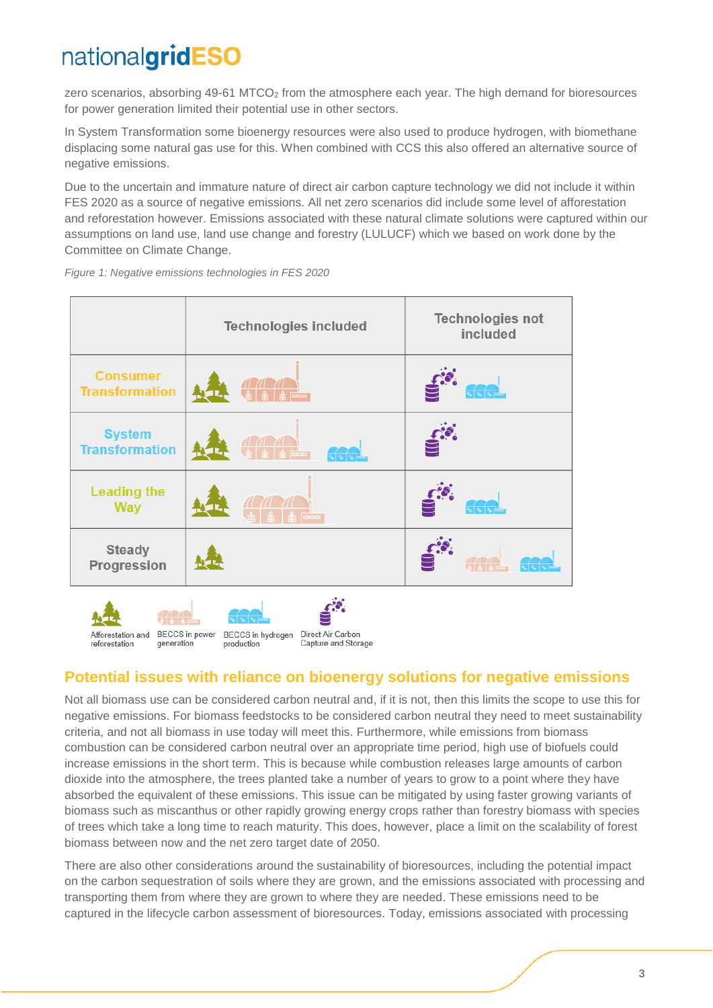zero scenarios, absorbing 49-61 MTCO<sub>2</sub> from the atmosphere each year. The high demand for bioresources for power generation limited their potential use in other sectors.

In System Transformation some bioenergy resources were also used to produce hydrogen, with biomethane displacing some natural gas use for this. When combined with CCS this also offered an alternative source of negative emissions.

Due to the uncertain and immature nature of direct air carbon capture technology we did not include it within FES 2020 as a source of negative emissions. All net zero scenarios did include some level of afforestation and reforestation however. Emissions associated with these natural climate solutions were captured within our assumptions on land use, land use change and forestry (LULUCF) which we based on work done by the Committee on Climate Change.

|                                                                         | <b>Technologies included</b>           | <b>Technologies not</b><br>included |  |  |
|-------------------------------------------------------------------------|----------------------------------------|-------------------------------------|--|--|
| <b>Consumer</b><br><b>Transformation</b>                                | ▓▏▓▕ <del>▓</del><br>░▓▕▓▕ <sup></sup> |                                     |  |  |
| <b>System</b><br><b>Transformation</b>                                  | <b>RAGE</b>                            |                                     |  |  |
| <b>Leading the</b><br><b>Way</b>                                        | <b>laoo</b>                            |                                     |  |  |
| <b>Steady</b><br>Progression                                            |                                        |                                     |  |  |
| BECCS in hydrogen Direct Air Carbon<br>Afforestation and BECCS in power |                                        |                                     |  |  |

*Figure 1: Negative emissions technologies in FES 2020*

generation

production

reforestation

#### **Potential issues with reliance on bioenergy solutions for negative emissions**

Capture and Storage

Not all biomass use can be considered carbon neutral and, if it is not, then this limits the scope to use this for negative emissions. For biomass feedstocks to be considered carbon neutral they need to meet sustainability criteria, and not all biomass in use today will meet this. Furthermore, while emissions from biomass combustion can be considered carbon neutral over an appropriate time period, high use of biofuels could increase emissions in the short term. This is because while combustion releases large amounts of carbon dioxide into the atmosphere, the trees planted take a number of years to grow to a point where they have absorbed the equivalent of these emissions. This issue can be mitigated by using faster growing variants of biomass such as miscanthus or other rapidly growing energy crops rather than forestry biomass with species of trees which take a long time to reach maturity. This does, however, place a limit on the scalability of forest biomass between now and the net zero target date of 2050.

There are also other considerations around the sustainability of bioresources, including the potential impact on the carbon sequestration of soils where they are grown, and the emissions associated with processing and transporting them from where they are grown to where they are needed. These emissions need to be captured in the lifecycle carbon assessment of bioresources. Today, emissions associated with processing